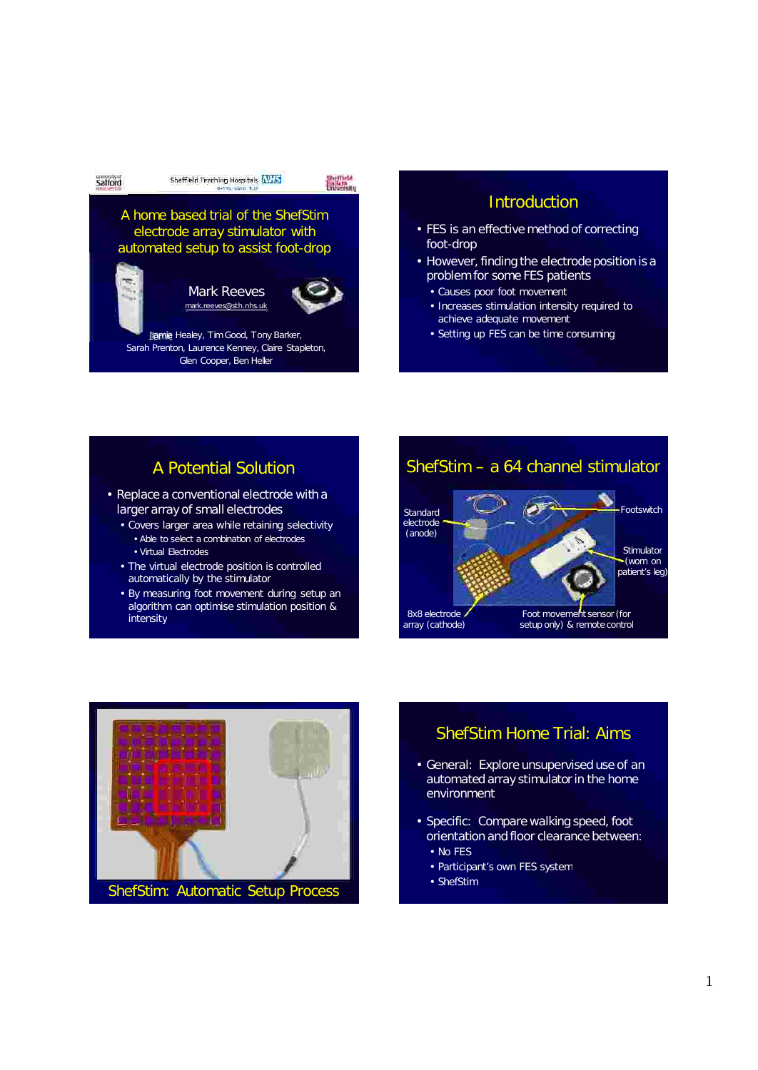

## **Introduction**

- FES is an effective method of correcting foot-drop
- However, finding the electrode position is a problem for some FES patients
	- Causes poor foot movement
	- Increases stimulation intensity required to achieve adequate movement
	- Setting up FES can be time consuming

## A Potential Solution

- Replace a conventional electrode with a larger array of small electrodes
	- Covers larger area while retaining selectivity • Able to select a combination of electrodes
		- Virtual Electrodes
	- The virtual electrode position is controlled automatically by the stimulator
	- By measuring foot movement during setup an algorithm can optimise stimulation position & intensity





## ShefStim Home Trial: Aims

- General: Explore unsupervised use of an automated array stimulator in the home environment
- Specific: Compare walking speed, foot orientation and floor clearance between:
	- No FES
	- Participant's own FES system
	- ShefStim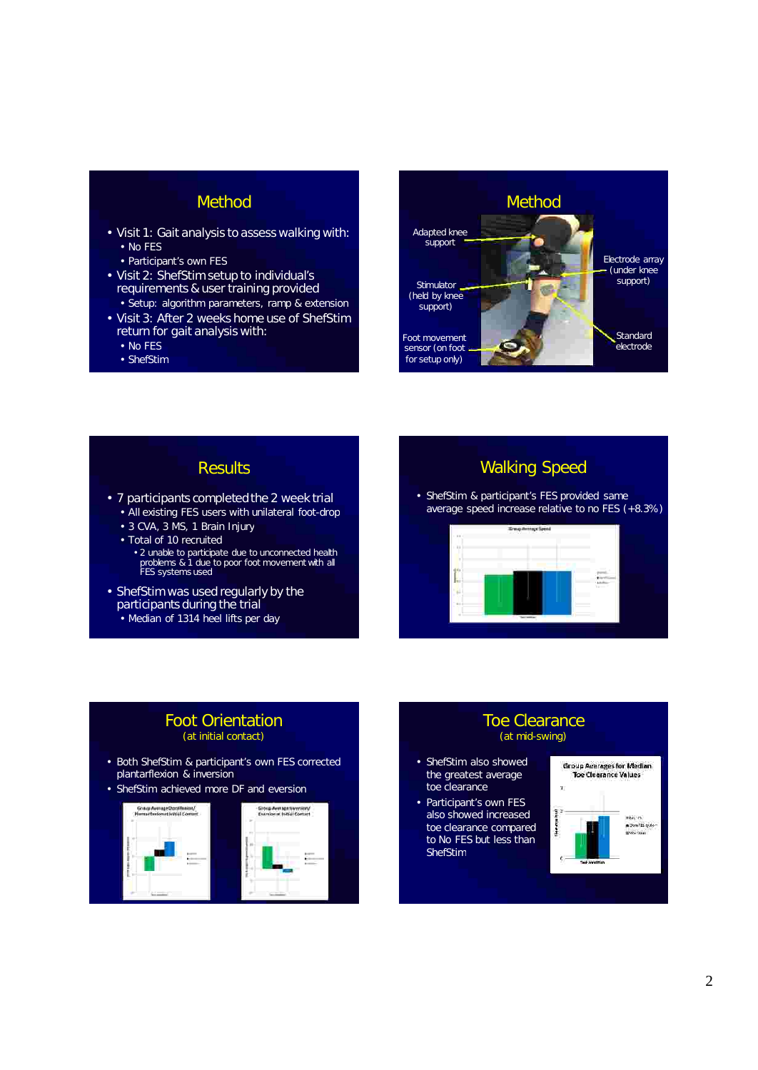## Method

- Visit 1: Gait analysis to assess walking with: • No FES
	- Participant's own FES
- Visit 2: ShefStim setup to individual's requirements & user training provided • Setup: algorithm parameters, ramp & extension
- Visit 3: After 2 weeks home use of ShefStim return for gait analysis with:
	- No FES
	- ShefStim



# **Results**

- 7 participants completed the 2 week trial • All existing FES users with unilateral foot-drop
	- 3 CVA, 3 MS, 1 Brain Injury
	- Total of 10 recruited
		- 2 unable to participate due to unconnected health problems & 1 due to poor foot movement with all FES systems used
- ShefStim was used regularly by the participants during the trial
	- Median of 1314 heel lifts per day

## Walking Speed

• ShefStim & participant's FES provided same average speed increase relative to no FES (+8.3%)



#### • Both ShefStim & participant's own FES corrected plantarflexion & inversion Foot Orientation (at initial contact)

• ShefStim achieved more DF and eversion